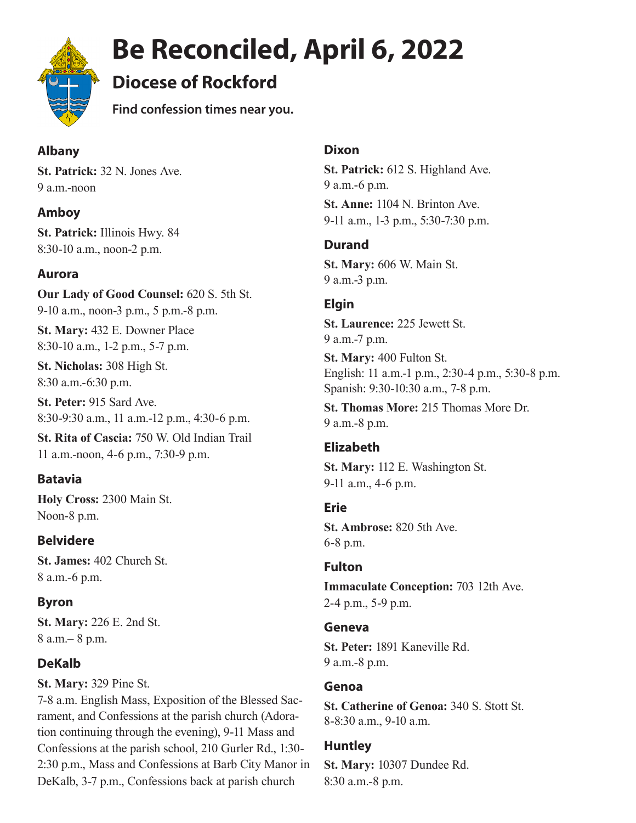

# **Be Reconciled, April 6, 2022**

# **Diocese of Rockford**

**Find confession times near you.** 

# **Albany**

**St. Patrick:** 32 N. Jones Ave. 9 a.m.-noon

# **Amboy**

**St. Patrick:** Illinois Hwy. 84 8:30-10 a.m., noon-2 p.m.

# **Aurora**

**Our Lady of Good Counsel:** 620 S. 5th St. 9-10 a.m., noon-3 p.m., 5 p.m.-8 p.m.

**St. Mary:** 432 E. Downer Place 8:30-10 a.m., 1-2 p.m., 5-7 p.m.

**St. Nicholas:** 308 High St. 8:30 a.m.-6:30 p.m.

**St. Peter:** 915 Sard Ave. 8:30-9:30 a.m., 11 a.m.-12 p.m., 4:30-6 p.m.

**St. Rita of Cascia:** 750 W. Old Indian Trail 11 a.m.-noon, 4-6 p.m., 7:30-9 p.m.

# **Batavia**

**Holy Cross:** 2300 Main St. Noon-8 p.m.

# **Belvidere**

**St. James:** 402 Church St. 8 a.m.-6 p.m.

# **Byron**

**St. Mary:** 226 E. 2nd St. 8 a.m.– 8 p.m.

# **DeKalb**

**St. Mary:** 329 Pine St.

7-8 a.m. English Mass, Exposition of the Blessed Sacrament, and Confessions at the parish church (Adoration continuing through the evening), 9-11 Mass and Confessions at the parish school, 210 Gurler Rd., 1:30- 2:30 p.m., Mass and Confessions at Barb City Manor in DeKalb, 3-7 p.m., Confessions back at parish church

#### **Dixon**

**St. Patrick:** 612 S. Highland Ave. 9 a.m.-6 p.m. **St. Anne:** 1104 N. Brinton Ave. 9-11 a.m., 1-3 p.m., 5:30-7:30 p.m.

# **Durand**

**St. Mary:** 606 W. Main St. 9 a.m.-3 p.m.

# **Elgin**

**St. Laurence:** 225 Jewett St. 9 a.m.-7 p.m.

**St. Mary:** 400 Fulton St. English: 11 a.m.-1 p.m., 2:30-4 p.m., 5:30-8 p.m. Spanish: 9:30-10:30 a.m., 7-8 p.m.

**St. Thomas More:** 215 Thomas More Dr. 9 a.m.-8 p.m.

# **Elizabeth**

**St. Mary:** 112 E. Washington St. 9-11 a.m., 4-6 p.m.

#### **Erie**

**St. Ambrose:** 820 5th Ave. 6-8 p.m.

#### **Fulton**

**Immaculate Conception:** 703 12th Ave. 2-4 p.m., 5-9 p.m.

#### **Geneva**

**St. Peter:** 1891 Kaneville Rd. 9 a.m.-8 p.m.

#### **Genoa**

**St. Catherine of Genoa:** 340 S. Stott St. 8-8:30 a.m., 9-10 a.m.

#### **Huntley**

**St. Mary:** 10307 Dundee Rd. 8:30 a.m.-8 p.m.